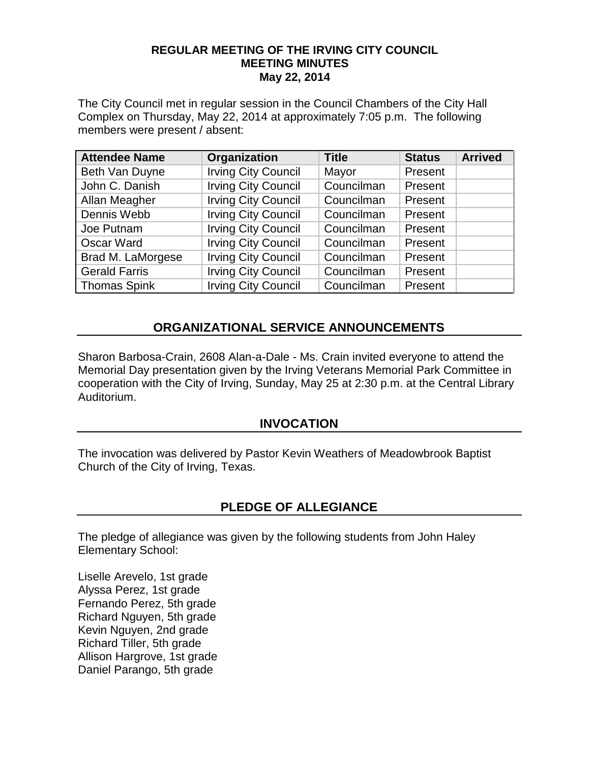#### **REGULAR MEETING OF THE IRVING CITY COUNCIL MEETING MINUTES May 22, 2014**

The City Council met in regular session in the Council Chambers of the City Hall Complex on Thursday, May 22, 2014 at approximately 7:05 p.m. The following members were present / absent:

| <b>Attendee Name</b> | Organization               | <b>Title</b> | <b>Status</b> | <b>Arrived</b> |
|----------------------|----------------------------|--------------|---------------|----------------|
| Beth Van Duyne       | <b>Irving City Council</b> | Mayor        | Present       |                |
| John C. Danish       | <b>Irving City Council</b> | Councilman   | Present       |                |
| Allan Meagher        | <b>Irving City Council</b> | Councilman   | Present       |                |
| Dennis Webb          | <b>Irving City Council</b> | Councilman   | Present       |                |
| Joe Putnam           | <b>Irving City Council</b> | Councilman   | Present       |                |
| Oscar Ward           | <b>Irving City Council</b> | Councilman   | Present       |                |
| Brad M. LaMorgese    | <b>Irving City Council</b> | Councilman   | Present       |                |
| <b>Gerald Farris</b> | <b>Irving City Council</b> | Councilman   | Present       |                |
| <b>Thomas Spink</b>  | <b>Irving City Council</b> | Councilman   | Present       |                |

# **ORGANIZATIONAL SERVICE ANNOUNCEMENTS**

Sharon Barbosa-Crain, 2608 Alan-a-Dale - Ms. Crain invited everyone to attend the Memorial Day presentation given by the Irving Veterans Memorial Park Committee in cooperation with the City of Irving, Sunday, May 25 at 2:30 p.m. at the Central Library Auditorium.

#### **INVOCATION**

The invocation was delivered by Pastor Kevin Weathers of Meadowbrook Baptist Church of the City of Irving, Texas.

#### **PLEDGE OF ALLEGIANCE**

The pledge of allegiance was given by the following students from John Haley Elementary School:

Liselle Arevelo, 1st grade Alyssa Perez, 1st grade Fernando Perez, 5th grade Richard Nguyen, 5th grade Kevin Nguyen, 2nd grade Richard Tiller, 5th grade Allison Hargrove, 1st grade Daniel Parango, 5th grade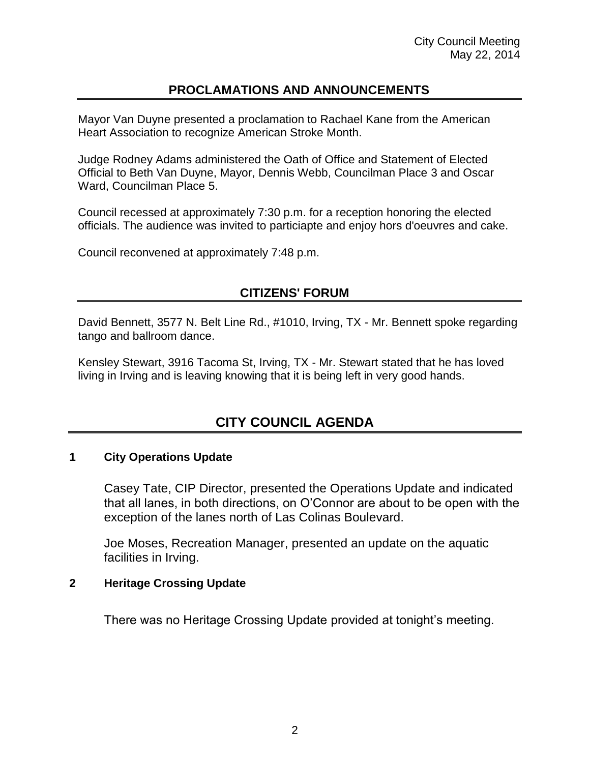# **PROCLAMATIONS AND ANNOUNCEMENTS**

Mayor Van Duyne presented a proclamation to Rachael Kane from the American Heart Association to recognize American Stroke Month.

Judge Rodney Adams administered the Oath of Office and Statement of Elected Official to Beth Van Duyne, Mayor, Dennis Webb, Councilman Place 3 and Oscar Ward, Councilman Place 5.

Council recessed at approximately 7:30 p.m. for a reception honoring the elected officials. The audience was invited to particiapte and enjoy hors d'oeuvres and cake.

Council reconvened at approximately 7:48 p.m.

### **CITIZENS' FORUM**

David Bennett, 3577 N. Belt Line Rd., #1010, Irving, TX - Mr. Bennett spoke regarding tango and ballroom dance.

Kensley Stewart, 3916 Tacoma St, Irving, TX - Mr. Stewart stated that he has loved living in Irving and is leaving knowing that it is being left in very good hands.

# **CITY COUNCIL AGENDA**

#### **1 City Operations Update**

Casey Tate, CIP Director, presented the Operations Update and indicated that all lanes, in both directions, on O'Connor are about to be open with the exception of the lanes north of Las Colinas Boulevard.

Joe Moses, Recreation Manager, presented an update on the aquatic facilities in Irving.

#### **2 Heritage Crossing Update**

There was no Heritage Crossing Update provided at tonight's meeting.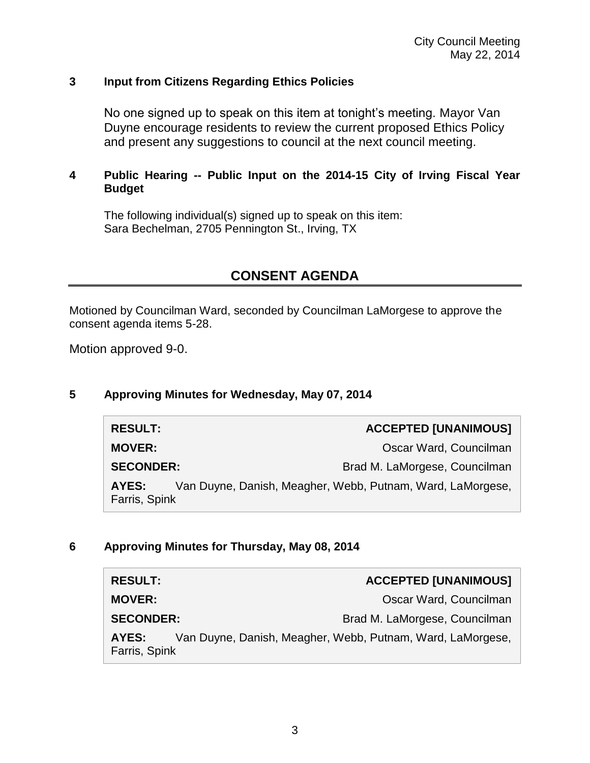#### **3 Input from Citizens Regarding Ethics Policies**

No one signed up to speak on this item at tonight's meeting. Mayor Van Duyne encourage residents to review the current proposed Ethics Policy and present any suggestions to council at the next council meeting.

#### **4 Public Hearing -- Public Input on the 2014-15 City of Irving Fiscal Year Budget**

The following individual(s) signed up to speak on this item: Sara Bechelman, 2705 Pennington St., Irving, TX

# **CONSENT AGENDA**

Motioned by Councilman Ward, seconded by Councilman LaMorgese to approve the consent agenda items 5-28.

Motion approved 9-0.

#### **5 Approving Minutes for Wednesday, May 07, 2014**

| <b>RESULT:</b>                                                                       | <b>ACCEPTED [UNANIMOUS]</b>   |  |
|--------------------------------------------------------------------------------------|-------------------------------|--|
| <b>MOVER:</b>                                                                        | Oscar Ward, Councilman        |  |
| <b>SECONDER:</b>                                                                     | Brad M. LaMorgese, Councilman |  |
| Van Duyne, Danish, Meagher, Webb, Putnam, Ward, LaMorgese,<br>AYES:<br>Farris, Spink |                               |  |

#### **6 Approving Minutes for Thursday, May 08, 2014**

| <b>RESULT:</b>         | <b>ACCEPTED [UNANIMOUS]</b>                                |
|------------------------|------------------------------------------------------------|
| <b>MOVER:</b>          | Oscar Ward, Councilman                                     |
| <b>SECONDER:</b>       | Brad M. LaMorgese, Councilman                              |
| AYES:<br>Farris, Spink | Van Duyne, Danish, Meagher, Webb, Putnam, Ward, LaMorgese, |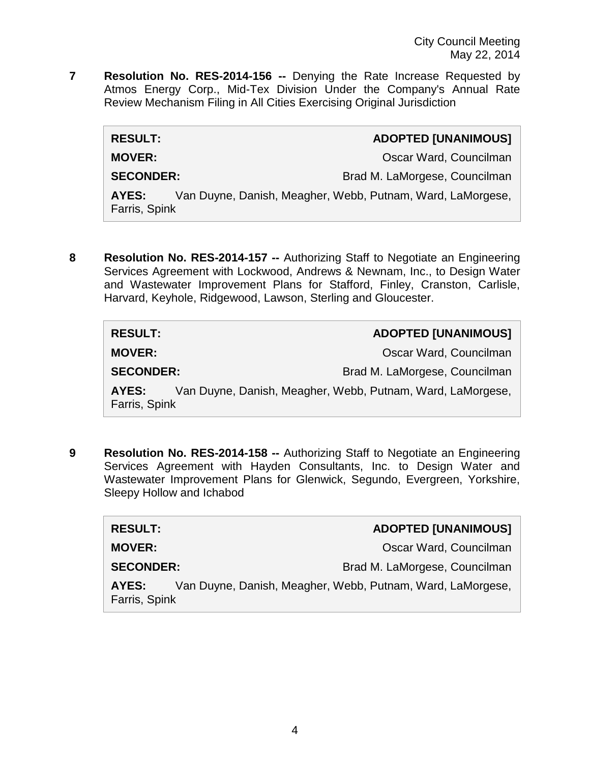**7 Resolution No. RES-2014-156 --** Denying the Rate Increase Requested by Atmos Energy Corp., Mid-Tex Division Under the Company's Annual Rate Review Mechanism Filing in All Cities Exercising Original Jurisdiction

| <b>RESULT:</b>                                                                       | <b>ADOPTED [UNANIMOUS]</b>    |  |
|--------------------------------------------------------------------------------------|-------------------------------|--|
| <b>MOVER:</b>                                                                        | Oscar Ward, Councilman        |  |
| <b>SECONDER:</b>                                                                     | Brad M. LaMorgese, Councilman |  |
| Van Duyne, Danish, Meagher, Webb, Putnam, Ward, LaMorgese,<br>AYES:<br>Farris, Spink |                               |  |

**8 Resolution No. RES-2014-157 --** Authorizing Staff to Negotiate an Engineering Services Agreement with Lockwood, Andrews & Newnam, Inc., to Design Water and Wastewater Improvement Plans for Stafford, Finley, Cranston, Carlisle, Harvard, Keyhole, Ridgewood, Lawson, Sterling and Gloucester.

| <b>RESULT:</b>                                                                       | <b>ADOPTED [UNANIMOUS]</b>    |  |
|--------------------------------------------------------------------------------------|-------------------------------|--|
| <b>MOVER:</b>                                                                        | Oscar Ward, Councilman        |  |
| <b>SECONDER:</b>                                                                     | Brad M. LaMorgese, Councilman |  |
| Van Duyne, Danish, Meagher, Webb, Putnam, Ward, LaMorgese,<br>AYES:<br>Farris, Spink |                               |  |

**9 Resolution No. RES-2014-158 --** Authorizing Staff to Negotiate an Engineering Services Agreement with Hayden Consultants, Inc. to Design Water and Wastewater Improvement Plans for Glenwick, Segundo, Evergreen, Yorkshire, Sleepy Hollow and Ichabod

| <b>RESULT:</b>                                                                       | <b>ADOPTED [UNANIMOUS]</b>    |  |
|--------------------------------------------------------------------------------------|-------------------------------|--|
| <b>MOVER:</b>                                                                        | Oscar Ward, Councilman        |  |
| <b>SECONDER:</b>                                                                     | Brad M. LaMorgese, Councilman |  |
| Van Duyne, Danish, Meagher, Webb, Putnam, Ward, LaMorgese,<br>AYES:<br>Farris, Spink |                               |  |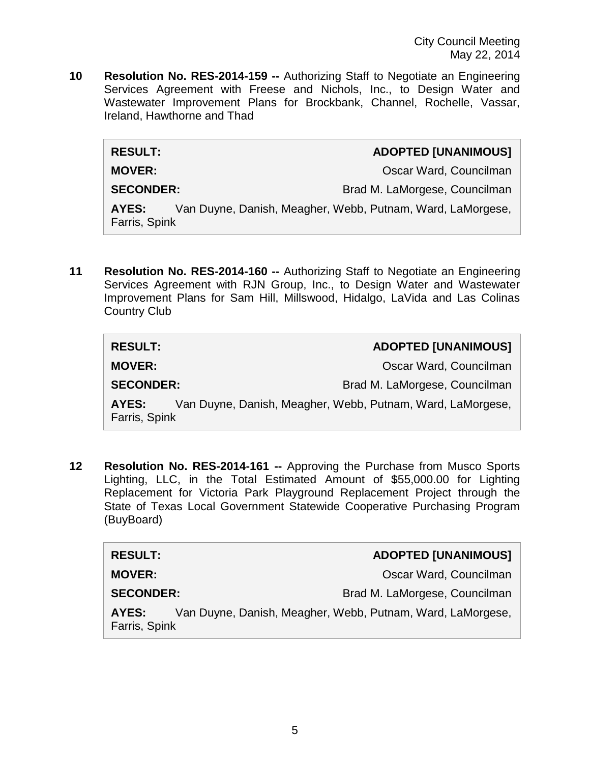**10 Resolution No. RES-2014-159 --** Authorizing Staff to Negotiate an Engineering Services Agreement with Freese and Nichols, Inc., to Design Water and Wastewater Improvement Plans for Brockbank, Channel, Rochelle, Vassar, Ireland, Hawthorne and Thad

| <b>RESULT:</b>                                                                       | <b>ADOPTED [UNANIMOUS]</b>    |  |
|--------------------------------------------------------------------------------------|-------------------------------|--|
| <b>MOVER:</b>                                                                        | Oscar Ward, Councilman        |  |
| <b>SECONDER:</b>                                                                     | Brad M. LaMorgese, Councilman |  |
| Van Duyne, Danish, Meagher, Webb, Putnam, Ward, LaMorgese,<br>AYES:<br>Farris, Spink |                               |  |

**11 Resolution No. RES-2014-160 --** Authorizing Staff to Negotiate an Engineering Services Agreement with RJN Group, Inc., to Design Water and Wastewater Improvement Plans for Sam Hill, Millswood, Hidalgo, LaVida and Las Colinas Country Club

| <b>RESULT:</b>                                                                       | <b>ADOPTED [UNANIMOUS]</b>    |  |
|--------------------------------------------------------------------------------------|-------------------------------|--|
| <b>MOVER:</b>                                                                        | Oscar Ward, Councilman        |  |
| <b>SECONDER:</b>                                                                     | Brad M. LaMorgese, Councilman |  |
| Van Duyne, Danish, Meagher, Webb, Putnam, Ward, LaMorgese,<br>AYES:<br>Farris, Spink |                               |  |

**12 Resolution No. RES-2014-161 --** Approving the Purchase from Musco Sports Lighting, LLC, in the Total Estimated Amount of \$55,000.00 for Lighting Replacement for Victoria Park Playground Replacement Project through the State of Texas Local Government Statewide Cooperative Purchasing Program (BuyBoard)

| <b>RESULT:</b>         | <b>ADOPTED [UNANIMOUS]</b>                                 |
|------------------------|------------------------------------------------------------|
| <b>MOVER:</b>          | Oscar Ward, Councilman                                     |
| <b>SECONDER:</b>       | Brad M. LaMorgese, Councilman                              |
| AYES:<br>Farris, Spink | Van Duyne, Danish, Meagher, Webb, Putnam, Ward, LaMorgese, |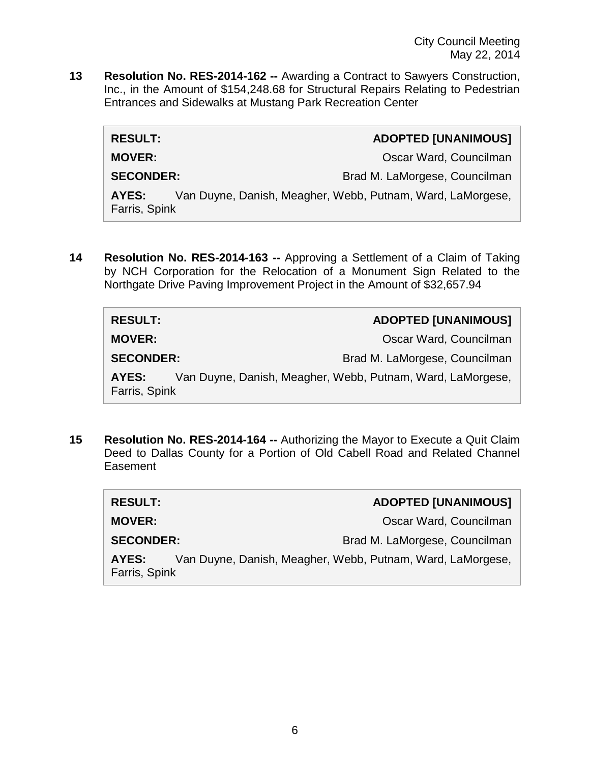**13 Resolution No. RES-2014-162 --** Awarding a Contract to Sawyers Construction, Inc., in the Amount of \$154,248.68 for Structural Repairs Relating to Pedestrian Entrances and Sidewalks at Mustang Park Recreation Center

| <b>RESULT:</b>                                                                       | <b>ADOPTED [UNANIMOUS]</b>    |  |
|--------------------------------------------------------------------------------------|-------------------------------|--|
| <b>MOVER:</b>                                                                        | Oscar Ward, Councilman        |  |
| <b>SECONDER:</b>                                                                     | Brad M. LaMorgese, Councilman |  |
| Van Duyne, Danish, Meagher, Webb, Putnam, Ward, LaMorgese,<br>AYES:<br>Farris, Spink |                               |  |

**14 Resolution No. RES-2014-163 --** Approving a Settlement of a Claim of Taking by NCH Corporation for the Relocation of a Monument Sign Related to the Northgate Drive Paving Improvement Project in the Amount of \$32,657.94

| <b>RESULT:</b>         | <b>ADOPTED [UNANIMOUS]</b>                                 |
|------------------------|------------------------------------------------------------|
| <b>MOVER:</b>          | Oscar Ward, Councilman                                     |
| <b>SECONDER:</b>       | Brad M. LaMorgese, Councilman                              |
| AYES:<br>Farris, Spink | Van Duyne, Danish, Meagher, Webb, Putnam, Ward, LaMorgese, |

**15 Resolution No. RES-2014-164 --** Authorizing the Mayor to Execute a Quit Claim Deed to Dallas County for a Portion of Old Cabell Road and Related Channel **Easement** 

| <b>RESULT:</b>         | <b>ADOPTED [UNANIMOUS]</b>                                 |
|------------------------|------------------------------------------------------------|
| <b>MOVER:</b>          | Oscar Ward, Councilman                                     |
| <b>SECONDER:</b>       | Brad M. LaMorgese, Councilman                              |
| AYES:<br>Farris, Spink | Van Duyne, Danish, Meagher, Webb, Putnam, Ward, LaMorgese, |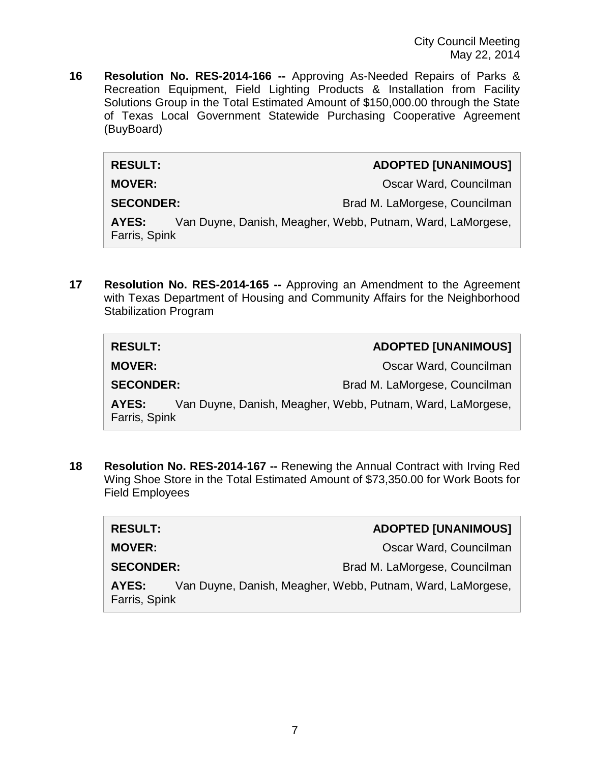**16 Resolution No. RES-2014-166 --** Approving As-Needed Repairs of Parks & Recreation Equipment, Field Lighting Products & Installation from Facility Solutions Group in the Total Estimated Amount of \$150,000.00 through the State of Texas Local Government Statewide Purchasing Cooperative Agreement (BuyBoard)

**RESULT: ADOPTED [UNANIMOUS]**

**MOVER: MOVER: COUNCILLENT COUNCILLENT COUNCIL** 

SECONDER: Brad M. LaMorgese, Councilman

**AYES:** Van Duyne, Danish, Meagher, Webb, Putnam, Ward, LaMorgese, Farris, Spink

**17 Resolution No. RES-2014-165 --** Approving an Amendment to the Agreement with Texas Department of Housing and Community Affairs for the Neighborhood Stabilization Program

| <b>RESULT:</b>         | <b>ADOPTED [UNANIMOUS]</b>                                 |
|------------------------|------------------------------------------------------------|
| <b>MOVER:</b>          | Oscar Ward, Councilman                                     |
| <b>SECONDER:</b>       | Brad M. LaMorgese, Councilman                              |
| AYES:<br>Farris, Spink | Van Duyne, Danish, Meagher, Webb, Putnam, Ward, LaMorgese, |

**18 Resolution No. RES-2014-167 --** Renewing the Annual Contract with Irving Red Wing Shoe Store in the Total Estimated Amount of \$73,350.00 for Work Boots for Field Employees

| <b>RESULT:</b>         | <b>ADOPTED [UNANIMOUS]</b>                                 |
|------------------------|------------------------------------------------------------|
| <b>MOVER:</b>          | Oscar Ward, Councilman                                     |
| <b>SECONDER:</b>       | Brad M. LaMorgese, Councilman                              |
| AYES:<br>Farris, Spink | Van Duyne, Danish, Meagher, Webb, Putnam, Ward, LaMorgese, |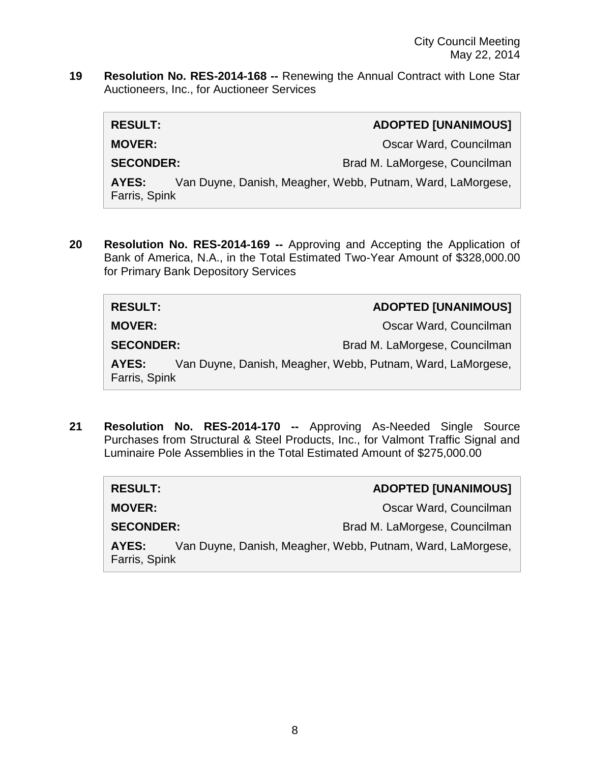**19 Resolution No. RES-2014-168 --** Renewing the Annual Contract with Lone Star Auctioneers, Inc., for Auctioneer Services

| <b>RESULT:</b>         | <b>ADOPTED [UNANIMOUS]</b>                                 |
|------------------------|------------------------------------------------------------|
| <b>MOVER:</b>          | Oscar Ward, Councilman                                     |
| <b>SECONDER:</b>       | Brad M. LaMorgese, Councilman                              |
| AYES:<br>Farris, Spink | Van Duyne, Danish, Meagher, Webb, Putnam, Ward, LaMorgese, |

**20 Resolution No. RES-2014-169 --** Approving and Accepting the Application of Bank of America, N.A., in the Total Estimated Two-Year Amount of \$328,000.00 for Primary Bank Depository Services

| <b>RESULT:</b>         | <b>ADOPTED [UNANIMOUS]</b>                                 |
|------------------------|------------------------------------------------------------|
| <b>MOVER:</b>          | Oscar Ward, Councilman                                     |
| <b>SECONDER:</b>       | Brad M. LaMorgese, Councilman                              |
| AYES:<br>Farris, Spink | Van Duyne, Danish, Meagher, Webb, Putnam, Ward, LaMorgese, |

**21 Resolution No. RES-2014-170 --** Approving As-Needed Single Source Purchases from Structural & Steel Products, Inc., for Valmont Traffic Signal and Luminaire Pole Assemblies in the Total Estimated Amount of \$275,000.00

| <b>RESULT:</b>         | <b>ADOPTED [UNANIMOUS]</b>                                 |
|------------------------|------------------------------------------------------------|
| <b>MOVER:</b>          | Oscar Ward, Councilman                                     |
| <b>SECONDER:</b>       | Brad M. LaMorgese, Councilman                              |
| AYES:<br>Farris, Spink | Van Duyne, Danish, Meagher, Webb, Putnam, Ward, LaMorgese, |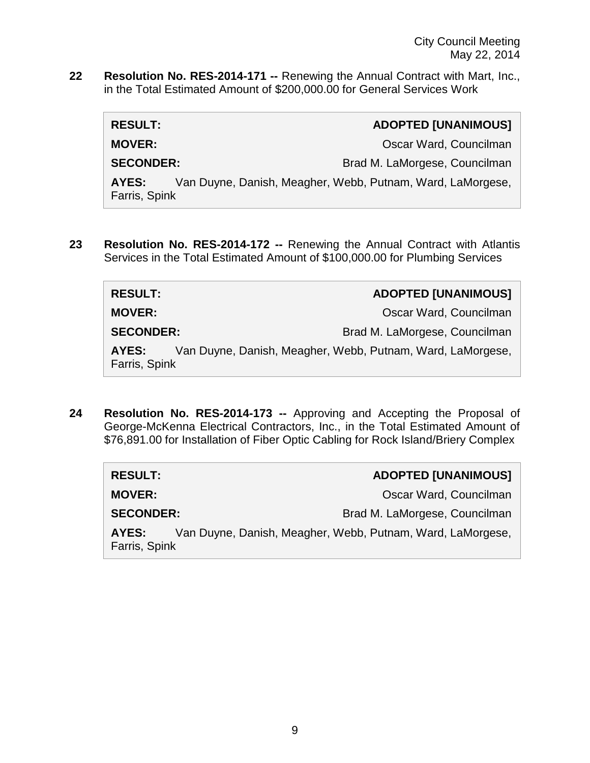**22 Resolution No. RES-2014-171 --** Renewing the Annual Contract with Mart, Inc., in the Total Estimated Amount of \$200,000.00 for General Services Work

| <b>RESULT:</b>         | <b>ADOPTED [UNANIMOUS]</b>                                 |
|------------------------|------------------------------------------------------------|
| <b>MOVER:</b>          | Oscar Ward, Councilman                                     |
| <b>SECONDER:</b>       | Brad M. LaMorgese, Councilman                              |
| AYES:<br>Farris, Spink | Van Duyne, Danish, Meagher, Webb, Putnam, Ward, LaMorgese, |

**23 Resolution No. RES-2014-172 --** Renewing the Annual Contract with Atlantis Services in the Total Estimated Amount of \$100,000.00 for Plumbing Services

| <b>RESULT:</b>                                                                       | <b>ADOPTED [UNANIMOUS]</b>    |
|--------------------------------------------------------------------------------------|-------------------------------|
| <b>MOVER:</b>                                                                        | Oscar Ward, Councilman        |
| <b>SECONDER:</b>                                                                     | Brad M. LaMorgese, Councilman |
| Van Duyne, Danish, Meagher, Webb, Putnam, Ward, LaMorgese,<br>AYES:<br>Farris, Spink |                               |

**24 Resolution No. RES-2014-173 --** Approving and Accepting the Proposal of George-McKenna Electrical Contractors, Inc., in the Total Estimated Amount of \$76,891.00 for Installation of Fiber Optic Cabling for Rock Island/Briery Complex

| <b>RESULT:</b>         | <b>ADOPTED [UNANIMOUS]</b>                                 |
|------------------------|------------------------------------------------------------|
| <b>MOVER:</b>          | Oscar Ward, Councilman                                     |
| <b>SECONDER:</b>       | Brad M. LaMorgese, Councilman                              |
| AYES:<br>Farris, Spink | Van Duyne, Danish, Meagher, Webb, Putnam, Ward, LaMorgese, |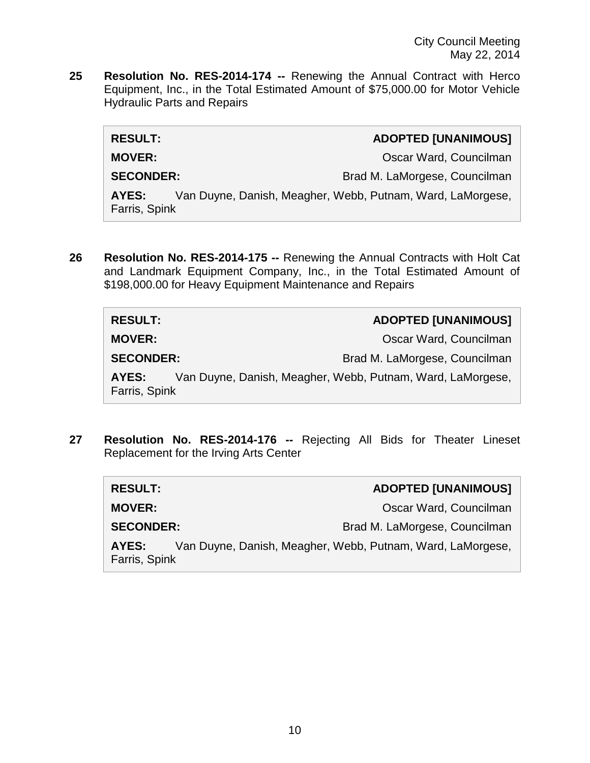**25 Resolution No. RES-2014-174 --** Renewing the Annual Contract with Herco Equipment, Inc., in the Total Estimated Amount of \$75,000.00 for Motor Vehicle Hydraulic Parts and Repairs

| <b>RESULT:</b>         | <b>ADOPTED [UNANIMOUS]</b>                                 |
|------------------------|------------------------------------------------------------|
| <b>MOVER:</b>          | Oscar Ward, Councilman                                     |
| <b>SECONDER:</b>       | Brad M. LaMorgese, Councilman                              |
| AYES:<br>Farris, Spink | Van Duyne, Danish, Meagher, Webb, Putnam, Ward, LaMorgese, |

**26 Resolution No. RES-2014-175 --** Renewing the Annual Contracts with Holt Cat and Landmark Equipment Company, Inc., in the Total Estimated Amount of \$198,000.00 for Heavy Equipment Maintenance and Repairs

| <b>RESULT:</b>         | <b>ADOPTED [UNANIMOUS]</b>                                 |
|------------------------|------------------------------------------------------------|
| <b>MOVER:</b>          | Oscar Ward, Councilman                                     |
| <b>SECONDER:</b>       | Brad M. LaMorgese, Councilman                              |
| AYES:<br>Farris, Spink | Van Duyne, Danish, Meagher, Webb, Putnam, Ward, LaMorgese, |

**27 Resolution No. RES-2014-176 --** Rejecting All Bids for Theater Lineset Replacement for the Irving Arts Center

| <b>RESULT:</b>         | <b>ADOPTED [UNANIMOUS]</b>                                 |
|------------------------|------------------------------------------------------------|
| <b>MOVER:</b>          | Oscar Ward, Councilman                                     |
| <b>SECONDER:</b>       | Brad M. LaMorgese, Councilman                              |
| AYES:<br>Farris, Spink | Van Duyne, Danish, Meagher, Webb, Putnam, Ward, LaMorgese, |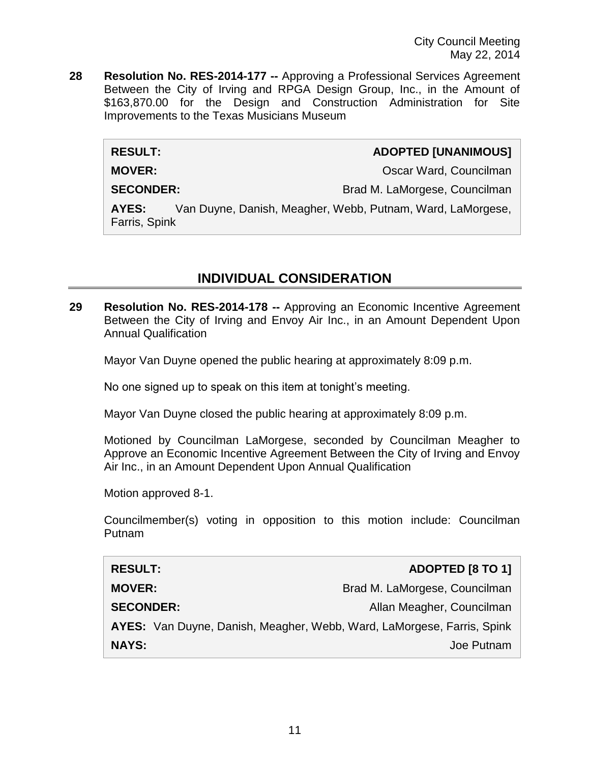**28 Resolution No. RES-2014-177 --** Approving a Professional Services Agreement Between the City of Irving and RPGA Design Group, Inc., in the Amount of \$163,870.00 for the Design and Construction Administration for Site Improvements to the Texas Musicians Museum

#### **RESULT: ADOPTED [UNANIMOUS]**

**MOVER: MOVER: Oscar Ward, Councilman** 

**SECONDER:** Brad M. LaMorgese, Councilman

**AYES:** Van Duyne, Danish, Meagher, Webb, Putnam, Ward, LaMorgese, Farris, Spink

# **INDIVIDUAL CONSIDERATION**

**29 Resolution No. RES-2014-178 --** Approving an Economic Incentive Agreement Between the City of Irving and Envoy Air Inc., in an Amount Dependent Upon Annual Qualification

Mayor Van Duyne opened the public hearing at approximately 8:09 p.m.

No one signed up to speak on this item at tonight's meeting.

Mayor Van Duyne closed the public hearing at approximately 8:09 p.m.

Motioned by Councilman LaMorgese, seconded by Councilman Meagher to Approve an Economic Incentive Agreement Between the City of Irving and Envoy Air Inc., in an Amount Dependent Upon Annual Qualification

Motion approved 8-1.

Councilmember(s) voting in opposition to this motion include: Councilman Putnam

| <b>RESULT:</b>                                                         | <b>ADOPTED [8 TO 1]</b>       |
|------------------------------------------------------------------------|-------------------------------|
| <b>MOVER:</b>                                                          | Brad M. LaMorgese, Councilman |
| <b>SECONDER:</b>                                                       | Allan Meagher, Councilman     |
| AYES: Van Duyne, Danish, Meagher, Webb, Ward, LaMorgese, Farris, Spink |                               |
| <b>NAYS:</b>                                                           | Joe Putnam                    |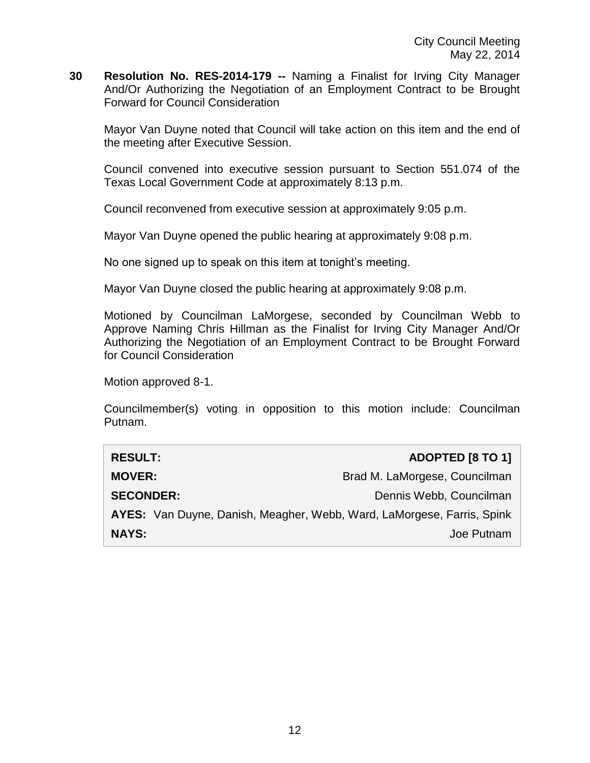**30 Resolution No. RES-2014-179 --** Naming a Finalist for Irving City Manager And/Or Authorizing the Negotiation of an Employment Contract to be Brought Forward for Council Consideration

Mayor Van Duyne noted that Council will take action on this item and the end of the meeting after Executive Session.

Council convened into executive session pursuant to Section 551.074 of the Texas Local Government Code at approximately 8:13 p.m.

Council reconvened from executive session at approximately 9:05 p.m.

Mayor Van Duyne opened the public hearing at approximately 9:08 p.m.

No one signed up to speak on this item at tonight's meeting.

Mayor Van Duyne closed the public hearing at approximately 9:08 p.m.

Motioned by Councilman LaMorgese, seconded by Councilman Webb to Approve Naming Chris Hillman as the Finalist for Irving City Manager And/Or Authorizing the Negotiation of an Employment Contract to be Brought Forward for Council Consideration

Motion approved 8-1.

Councilmember(s) voting in opposition to this motion include: Councilman Putnam.

| <b>RESULT:</b>                                                         | ADOPTED [8 TO 1]              |  |
|------------------------------------------------------------------------|-------------------------------|--|
| <b>MOVER:</b>                                                          | Brad M. LaMorgese, Councilman |  |
| <b>SECONDER:</b>                                                       | Dennis Webb, Councilman       |  |
| AYES: Van Duyne, Danish, Meagher, Webb, Ward, LaMorgese, Farris, Spink |                               |  |
| <b>NAYS:</b>                                                           | Joe Putnam                    |  |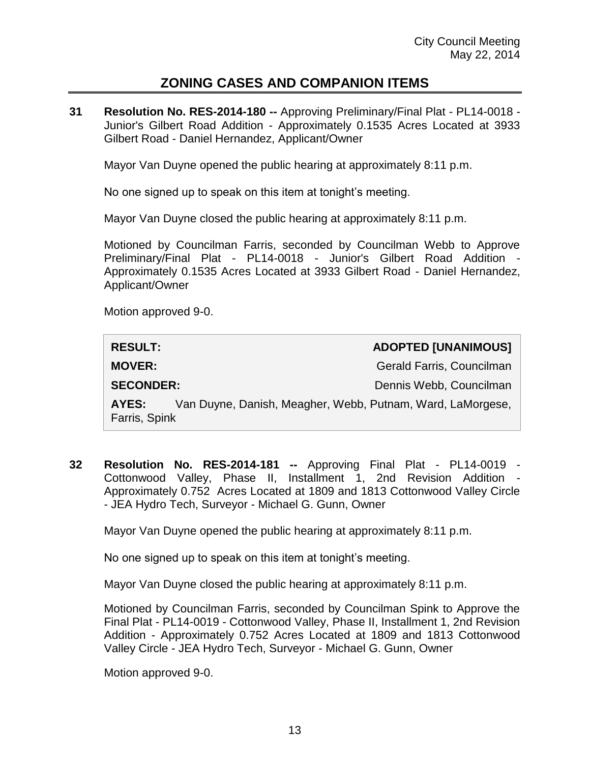# **ZONING CASES AND COMPANION ITEMS**

**31 Resolution No. RES-2014-180 --** Approving Preliminary/Final Plat - PL14-0018 - Junior's Gilbert Road Addition - Approximately 0.1535 Acres Located at 3933 Gilbert Road - Daniel Hernandez, Applicant/Owner

Mayor Van Duyne opened the public hearing at approximately 8:11 p.m.

No one signed up to speak on this item at tonight's meeting.

Mayor Van Duyne closed the public hearing at approximately 8:11 p.m.

Motioned by Councilman Farris, seconded by Councilman Webb to Approve Preliminary/Final Plat - PL14-0018 - Junior's Gilbert Road Addition - Approximately 0.1535 Acres Located at 3933 Gilbert Road - Daniel Hernandez, Applicant/Owner

Motion approved 9-0.

| <b>RESULT:</b>         | <b>ADOPTED [UNANIMOUS]</b>                                 |
|------------------------|------------------------------------------------------------|
| <b>MOVER:</b>          | Gerald Farris, Councilman                                  |
| <b>SECONDER:</b>       | Dennis Webb, Councilman                                    |
| AYES:<br>Farris, Spink | Van Duyne, Danish, Meagher, Webb, Putnam, Ward, LaMorgese, |

**32 Resolution No. RES-2014-181 --** Approving Final Plat - PL14-0019 - Cottonwood Valley, Phase II, Installment 1, 2nd Revision Addition - Approximately 0.752 Acres Located at 1809 and 1813 Cottonwood Valley Circle - JEA Hydro Tech, Surveyor - Michael G. Gunn, Owner

Mayor Van Duyne opened the public hearing at approximately 8:11 p.m.

No one signed up to speak on this item at tonight's meeting.

Mayor Van Duyne closed the public hearing at approximately 8:11 p.m.

Motioned by Councilman Farris, seconded by Councilman Spink to Approve the Final Plat - PL14-0019 - Cottonwood Valley, Phase II, Installment 1, 2nd Revision Addition - Approximately 0.752 Acres Located at 1809 and 1813 Cottonwood Valley Circle - JEA Hydro Tech, Surveyor - Michael G. Gunn, Owner

Motion approved 9-0.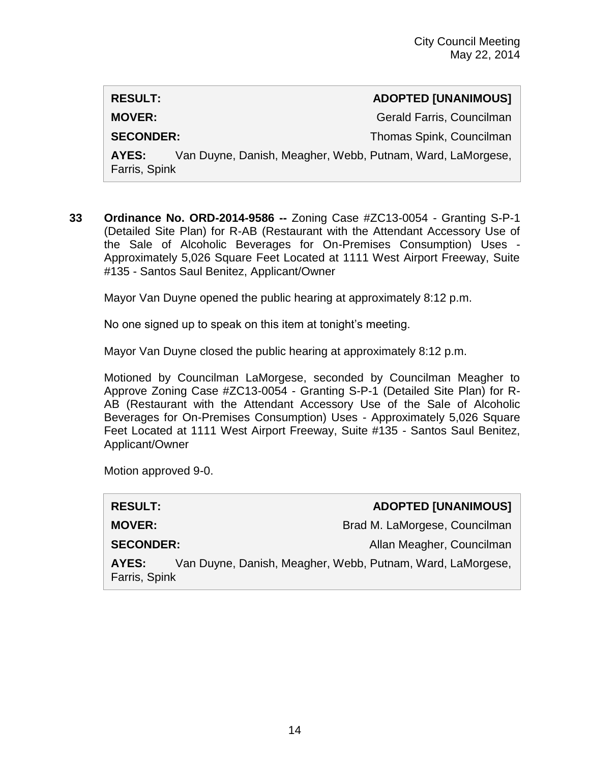# **RESULT: ADOPTED [UNANIMOUS] MOVER:** Gerald Farris, Councilman **SECONDER:** Thomas Spink, Councilman **AYES:** Van Duyne, Danish, Meagher, Webb, Putnam, Ward, LaMorgese, Farris, Spink

**33 Ordinance No. ORD-2014-9586 --** Zoning Case #ZC13-0054 - Granting S-P-1 (Detailed Site Plan) for R-AB (Restaurant with the Attendant Accessory Use of the Sale of Alcoholic Beverages for On-Premises Consumption) Uses - Approximately 5,026 Square Feet Located at 1111 West Airport Freeway, Suite #135 - Santos Saul Benitez, Applicant/Owner

Mayor Van Duyne opened the public hearing at approximately 8:12 p.m.

No one signed up to speak on this item at tonight's meeting.

Mayor Van Duyne closed the public hearing at approximately 8:12 p.m.

Motioned by Councilman LaMorgese, seconded by Councilman Meagher to Approve Zoning Case #ZC13-0054 - Granting S-P-1 (Detailed Site Plan) for R-AB (Restaurant with the Attendant Accessory Use of the Sale of Alcoholic Beverages for On-Premises Consumption) Uses - Approximately 5,026 Square Feet Located at 1111 West Airport Freeway, Suite #135 - Santos Saul Benitez, Applicant/Owner

Motion approved 9-0.

| <b>RESULT:</b>         | <b>ADOPTED [UNANIMOUS]</b>                                 |
|------------------------|------------------------------------------------------------|
| <b>MOVER:</b>          | Brad M. LaMorgese, Councilman                              |
| <b>SECONDER:</b>       | Allan Meagher, Councilman                                  |
| AYES:<br>Farris, Spink | Van Duyne, Danish, Meagher, Webb, Putnam, Ward, LaMorgese, |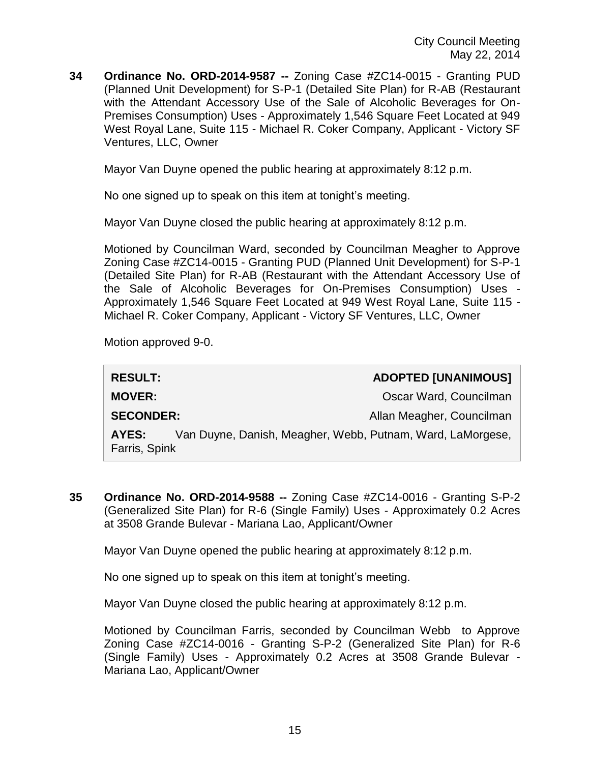**34 Ordinance No. ORD-2014-9587 --** Zoning Case #ZC14-0015 - Granting PUD (Planned Unit Development) for S-P-1 (Detailed Site Plan) for R-AB (Restaurant with the Attendant Accessory Use of the Sale of Alcoholic Beverages for On-Premises Consumption) Uses - Approximately 1,546 Square Feet Located at 949 West Royal Lane, Suite 115 - Michael R. Coker Company, Applicant - Victory SF Ventures, LLC, Owner

Mayor Van Duyne opened the public hearing at approximately 8:12 p.m.

No one signed up to speak on this item at tonight's meeting.

Mayor Van Duyne closed the public hearing at approximately 8:12 p.m.

Motioned by Councilman Ward, seconded by Councilman Meagher to Approve Zoning Case #ZC14-0015 - Granting PUD (Planned Unit Development) for S-P-1 (Detailed Site Plan) for R-AB (Restaurant with the Attendant Accessory Use of the Sale of Alcoholic Beverages for On-Premises Consumption) Uses - Approximately 1,546 Square Feet Located at 949 West Royal Lane, Suite 115 - Michael R. Coker Company, Applicant - Victory SF Ventures, LLC, Owner

Motion approved 9-0.

| <b>RESULT:</b>         |                                                            | <b>ADOPTED [UNANIMOUS]</b> |
|------------------------|------------------------------------------------------------|----------------------------|
| <b>MOVER:</b>          |                                                            | Oscar Ward, Councilman     |
| <b>SECONDER:</b>       |                                                            | Allan Meagher, Councilman  |
| AYES:<br>Farris, Spink | Van Duyne, Danish, Meagher, Webb, Putnam, Ward, LaMorgese, |                            |

**35 Ordinance No. ORD-2014-9588 --** Zoning Case #ZC14-0016 - Granting S-P-2 (Generalized Site Plan) for R-6 (Single Family) Uses - Approximately 0.2 Acres at 3508 Grande Bulevar - Mariana Lao, Applicant/Owner

Mayor Van Duyne opened the public hearing at approximately 8:12 p.m.

No one signed up to speak on this item at tonight's meeting.

Mayor Van Duyne closed the public hearing at approximately 8:12 p.m.

Motioned by Councilman Farris, seconded by Councilman Webb to Approve Zoning Case #ZC14-0016 - Granting S-P-2 (Generalized Site Plan) for R-6 (Single Family) Uses - Approximately 0.2 Acres at 3508 Grande Bulevar - Mariana Lao, Applicant/Owner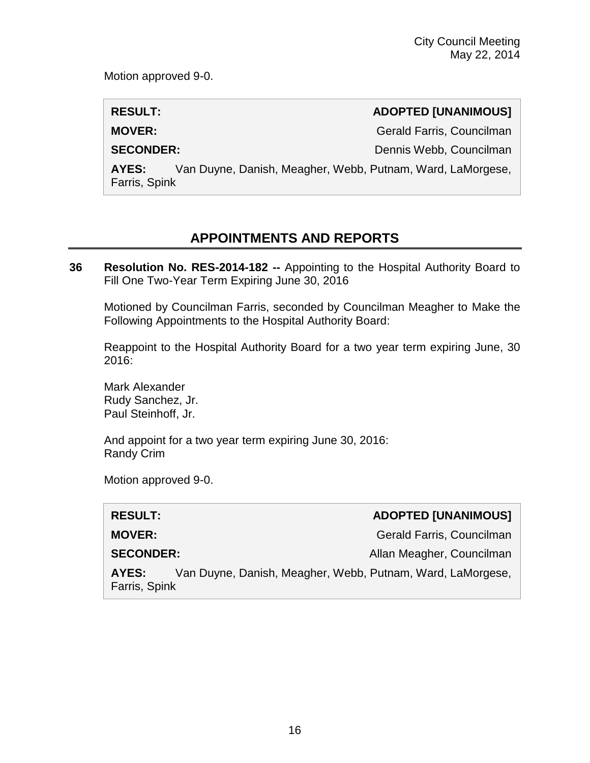Motion approved 9-0.

**RESULT: ADOPTED [UNANIMOUS]**

**MOVER:** Gerald Farris, Councilman

**SECONDER:** Dennis Webb, Councilman

**AYES:** Van Duyne, Danish, Meagher, Webb, Putnam, Ward, LaMorgese, Farris, Spink

# **APPOINTMENTS AND REPORTS**

**36 Resolution No. RES-2014-182 --** Appointing to the Hospital Authority Board to Fill One Two-Year Term Expiring June 30, 2016

Motioned by Councilman Farris, seconded by Councilman Meagher to Make the Following Appointments to the Hospital Authority Board:

Reappoint to the Hospital Authority Board for a two year term expiring June, 30 2016:

Mark Alexander Rudy Sanchez, Jr. Paul Steinhoff, Jr.

And appoint for a two year term expiring June 30, 2016: Randy Crim

Motion approved 9-0.

| <b>RESULT:</b>         |                                                            | <b>ADOPTED [UNANIMOUS]</b> |
|------------------------|------------------------------------------------------------|----------------------------|
| <b>MOVER:</b>          |                                                            | Gerald Farris, Councilman  |
| <b>SECONDER:</b>       |                                                            | Allan Meagher, Councilman  |
| AYES:<br>Farris, Spink | Van Duyne, Danish, Meagher, Webb, Putnam, Ward, LaMorgese, |                            |